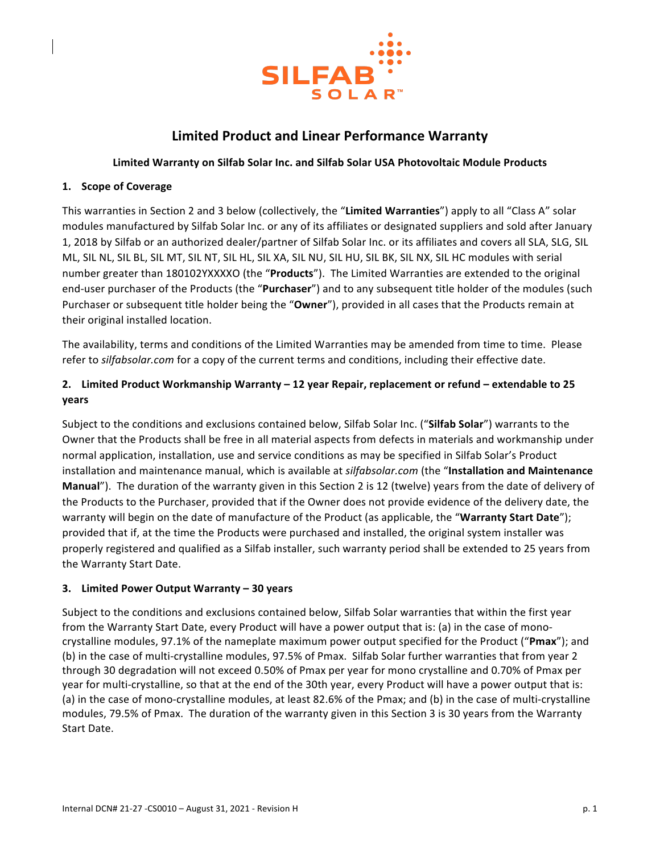

# **Limited Product and Linear Performance Warranty**

### Limited Warranty on Silfab Solar Inc. and Silfab Solar USA Photovoltaic Module Products

### **1. Scope of Coverage**

This warranties in Section 2 and 3 below (collectively, the "Limited Warranties") apply to all "Class A" solar modules manufactured by Silfab Solar Inc. or any of its affiliates or designated suppliers and sold after January 1, 2018 by Silfab or an authorized dealer/partner of Silfab Solar Inc. or its affiliates and covers all SLA, SLG, SIL ML, SIL NL, SIL BL, SIL MT, SIL NT, SIL HL, SIL XA, SIL NU, SIL HU, SIL BK, SIL NX, SIL HC modules with serial number greater than 180102YXXXXO (the "**Products**"). The Limited Warranties are extended to the original end-user purchaser of the Products (the "Purchaser") and to any subsequent title holder of the modules (such Purchaser or subsequent title holder being the "Owner"), provided in all cases that the Products remain at their original installed location.

The availability, terms and conditions of the Limited Warranties may be amended from time to time. Please refer to *silfabsolar.com* for a copy of the current terms and conditions, including their effective date.

# 2. Limited Product Workmanship Warranty - 12 year Repair, replacement or refund - extendable to 25 **years**

Subject to the conditions and exclusions contained below, Silfab Solar Inc. ("Silfab Solar") warrants to the Owner that the Products shall be free in all material aspects from defects in materials and workmanship under normal application, installation, use and service conditions as may be specified in Silfab Solar's Product installation and maintenance manual, which is available at silfabsolar.com (the "Installation and Maintenance **Manual**"). The duration of the warranty given in this Section 2 is 12 (twelve) years from the date of delivery of the Products to the Purchaser, provided that if the Owner does not provide evidence of the delivery date, the warranty will begin on the date of manufacture of the Product (as applicable, the "Warranty Start Date"); provided that if, at the time the Products were purchased and installed, the original system installer was properly registered and qualified as a Silfab installer, such warranty period shall be extended to 25 years from the Warranty Start Date.

### **3. Limited Power Output Warranty – 30 years**

Subject to the conditions and exclusions contained below, Silfab Solar warranties that within the first year from the Warranty Start Date, every Product will have a power output that is: (a) in the case of monocrystalline modules, 97.1% of the nameplate maximum power output specified for the Product ("**Pmax**"); and (b) in the case of multi-crystalline modules, 97.5% of Pmax. Silfab Solar further warranties that from year 2 through 30 degradation will not exceed 0.50% of Pmax per year for mono crystalline and 0.70% of Pmax per year for multi-crystalline, so that at the end of the 30th year, every Product will have a power output that is: (a) in the case of mono-crystalline modules, at least 82.6% of the Pmax; and (b) in the case of multi-crystalline modules, 79.5% of Pmax. The duration of the warranty given in this Section 3 is 30 years from the Warranty Start Date.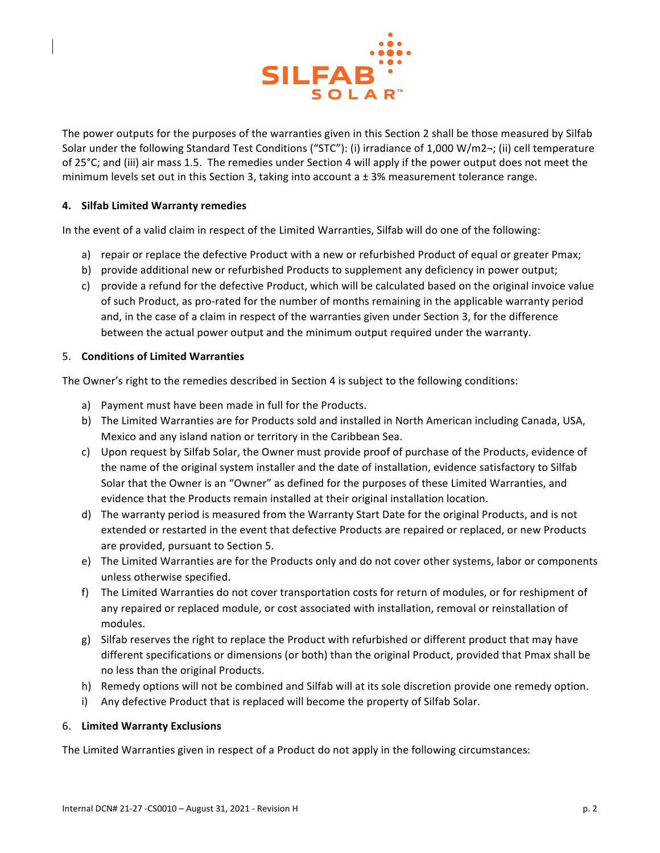

The power outputs for the purposes of the warranties given in this Section 2 shall be those measured by Silfab Solar under the following Standard Test Conditions ("STC"): (i) irradiance of 1,000 W/m2-; (ii) cell temperature of 25°C; and (iii) air mass 1.5. The remedies under Section 4 will apply if the power output does not meet the minimum levels set out in this Section 3, taking into account a  $\pm$  3% measurement tolerance range.

### **4.** Silfab Limited Warranty remedies

In the event of a valid claim in respect of the Limited Warranties, Silfab will do one of the following:

- a) repair or replace the defective Product with a new or refurbished Product of equal or greater Pmax;
- b) provide additional new or refurbished Products to supplement any deficiency in power output;
- c) provide a refund for the defective Product, which will be calculated based on the original invoice value of such Product, as pro-rated for the number of months remaining in the applicable warranty period and, in the case of a claim in respect of the warranties given under Section 3, for the difference between the actual power output and the minimum output required under the warranty.

#### 5. **Conditions of Limited Warranties**

The Owner's right to the remedies described in Section 4 is subject to the following conditions:

- a) Payment must have been made in full for the Products.
- b) The Limited Warranties are for Products sold and installed in North American including Canada, USA, Mexico and any island nation or territory in the Caribbean Sea.
- c) Upon request by Silfab Solar, the Owner must provide proof of purchase of the Products, evidence of the name of the original system installer and the date of installation, evidence satisfactory to Silfab Solar that the Owner is an "Owner" as defined for the purposes of these Limited Warranties, and evidence that the Products remain installed at their original installation location.
- d) The warranty period is measured from the Warranty Start Date for the original Products, and is not extended or restarted in the event that defective Products are repaired or replaced, or new Products are provided, pursuant to Section 5.
- e) The Limited Warranties are for the Products only and do not cover other systems, labor or components unless otherwise specified.
- f) The Limited Warranties do not cover transportation costs for return of modules, or for reshipment of any repaired or replaced module, or cost associated with installation, removal or reinstallation of modules.
- g) Silfab reserves the right to replace the Product with refurbished or different product that may have different specifications or dimensions (or both) than the original Product, provided that Pmax shall be no less than the original Products.
- h) Remedy options will not be combined and Silfab will at its sole discretion provide one remedy option.
- i) Any defective Product that is replaced will become the property of Silfab Solar.

#### 6. **Limited Warranty Exclusions**

The Limited Warranties given in respect of a Product do not apply in the following circumstances: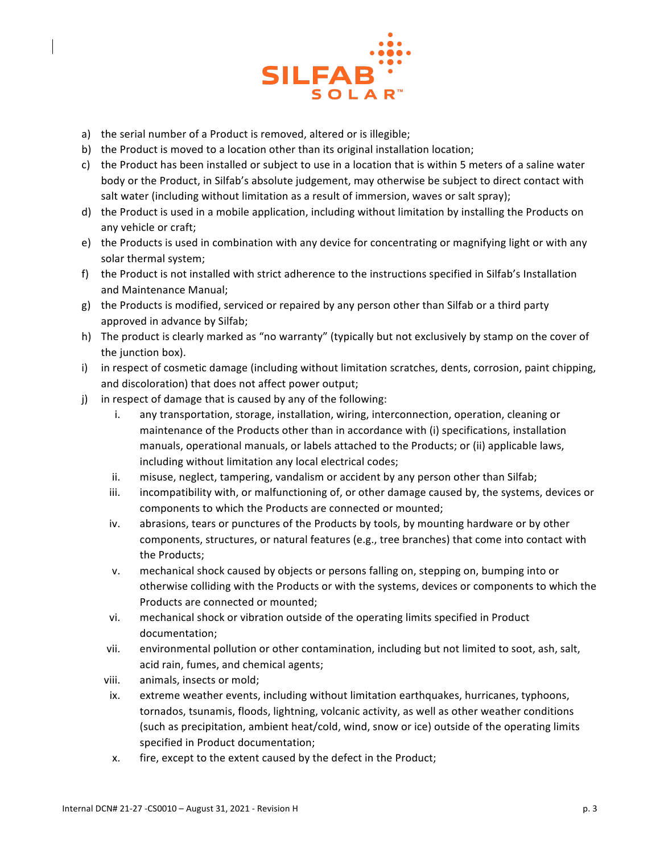

- a) the serial number of a Product is removed, altered or is illegible;
- b) the Product is moved to a location other than its original installation location;
- c) the Product has been installed or subject to use in a location that is within 5 meters of a saline water body or the Product, in Silfab's absolute judgement, may otherwise be subject to direct contact with salt water (including without limitation as a result of immersion, waves or salt spray);
- d) the Product is used in a mobile application, including without limitation by installing the Products on any vehicle or craft;
- e) the Products is used in combination with any device for concentrating or magnifying light or with any solar thermal system;
- f) the Product is not installed with strict adherence to the instructions specified in Silfab's Installation and Maintenance Manual;
- g) the Products is modified, serviced or repaired by any person other than Silfab or a third party approved in advance by Silfab;
- h) The product is clearly marked as "no warranty" (typically but not exclusively by stamp on the cover of the junction box).
- i) in respect of cosmetic damage (including without limitation scratches, dents, corrosion, paint chipping, and discoloration) that does not affect power output;
- j) in respect of damage that is caused by any of the following:
	- i. any transportation, storage, installation, wiring, interconnection, operation, cleaning or maintenance of the Products other than in accordance with (i) specifications, installation manuals, operational manuals, or labels attached to the Products; or (ii) applicable laws, including without limitation any local electrical codes;
	- ii. misuse, neglect, tampering, vandalism or accident by any person other than Silfab;
	- iii. incompatibility with, or malfunctioning of, or other damage caused by, the systems, devices or components to which the Products are connected or mounted;
	- iv. abrasions, tears or punctures of the Products by tools, by mounting hardware or by other components, structures, or natural features (e.g., tree branches) that come into contact with the Products;
	- v. mechanical shock caused by objects or persons falling on, stepping on, bumping into or otherwise colliding with the Products or with the systems, devices or components to which the Products are connected or mounted;
	- vi. mechanical shock or vibration outside of the operating limits specified in Product documentation;
	- vii. environmental pollution or other contamination, including but not limited to soot, ash, salt, acid rain, fumes, and chemical agents;
	- viii. animals, insects or mold;
	- ix. extreme weather events, including without limitation earthquakes, hurricanes, typhoons, tornados, tsunamis, floods, lightning, volcanic activity, as well as other weather conditions (such as precipitation, ambient heat/cold, wind, snow or ice) outside of the operating limits specified in Product documentation;
	- x. fire, except to the extent caused by the defect in the Product;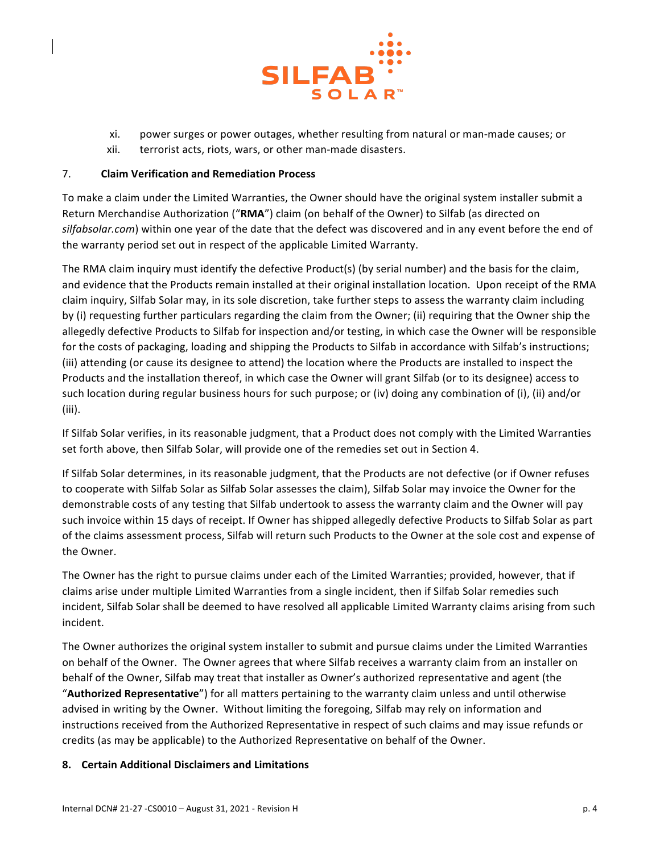

- xi. power surges or power outages, whether resulting from natural or man-made causes; or
- xii. terrorist acts, riots, wars, or other man-made disasters.

### 7. **Claim Verification and Remediation Process**

To make a claim under the Limited Warranties, the Owner should have the original system installer submit a Return Merchandise Authorization ("RMA") claim (on behalf of the Owner) to Silfab (as directed on silfabsolar.com) within one year of the date that the defect was discovered and in any event before the end of the warranty period set out in respect of the applicable Limited Warranty.

The RMA claim inquiry must identify the defective Product(s) (by serial number) and the basis for the claim, and evidence that the Products remain installed at their original installation location. Upon receipt of the RMA claim inquiry, Silfab Solar may, in its sole discretion, take further steps to assess the warranty claim including by (i) requesting further particulars regarding the claim from the Owner; (ii) requiring that the Owner ship the allegedly defective Products to Silfab for inspection and/or testing, in which case the Owner will be responsible for the costs of packaging, loading and shipping the Products to Silfab in accordance with Silfab's instructions; (iii) attending (or cause its designee to attend) the location where the Products are installed to inspect the Products and the installation thereof, in which case the Owner will grant Silfab (or to its designee) access to such location during regular business hours for such purpose; or (iv) doing any combination of (i), (ii) and/or (iii). 

If Silfab Solar verifies, in its reasonable judgment, that a Product does not comply with the Limited Warranties set forth above, then Silfab Solar, will provide one of the remedies set out in Section 4.

If Silfab Solar determines, in its reasonable judgment, that the Products are not defective (or if Owner refuses to cooperate with Silfab Solar as Silfab Solar assesses the claim), Silfab Solar may invoice the Owner for the demonstrable costs of any testing that Silfab undertook to assess the warranty claim and the Owner will pay such invoice within 15 days of receipt. If Owner has shipped allegedly defective Products to Silfab Solar as part of the claims assessment process, Silfab will return such Products to the Owner at the sole cost and expense of the Owner.

The Owner has the right to pursue claims under each of the Limited Warranties; provided, however, that if claims arise under multiple Limited Warranties from a single incident, then if Silfab Solar remedies such incident, Silfab Solar shall be deemed to have resolved all applicable Limited Warranty claims arising from such incident.

The Owner authorizes the original system installer to submit and pursue claims under the Limited Warranties on behalf of the Owner. The Owner agrees that where Silfab receives a warranty claim from an installer on behalf of the Owner, Silfab may treat that installer as Owner's authorized representative and agent (the "Authorized Representative") for all matters pertaining to the warranty claim unless and until otherwise advised in writing by the Owner. Without limiting the foregoing, Silfab may rely on information and instructions received from the Authorized Representative in respect of such claims and may issue refunds or credits (as may be applicable) to the Authorized Representative on behalf of the Owner.

# **8. Certain Additional Disclaimers and Limitations**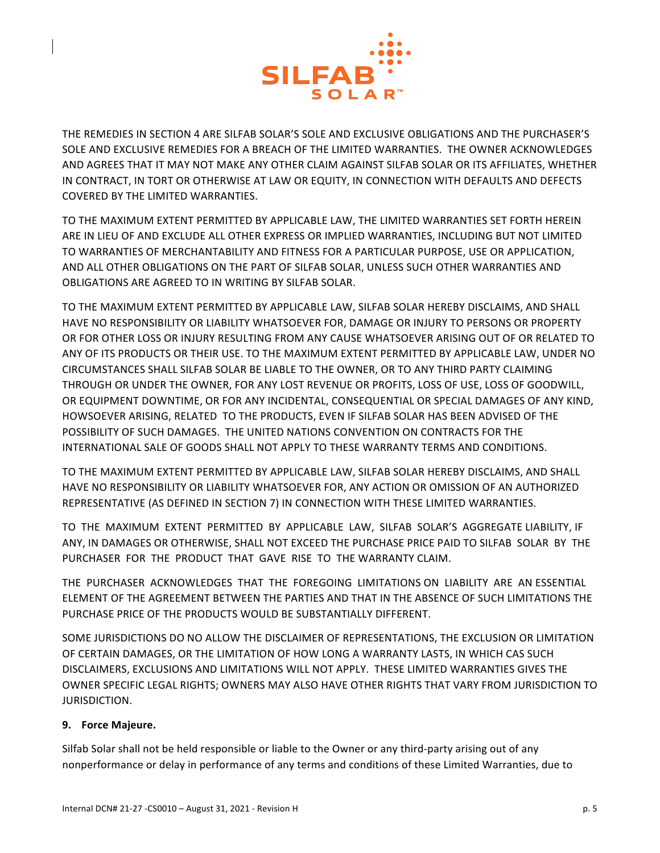

THE REMEDIES IN SECTION 4 ARE SILFAB SOLAR'S SOLE AND EXCLUSIVE OBLIGATIONS AND THE PURCHASER'S SOLE AND EXCLUSIVE REMEDIES FOR A BREACH OF THE LIMITED WARRANTIES. THE OWNER ACKNOWLEDGES AND AGREES THAT IT MAY NOT MAKE ANY OTHER CLAIM AGAINST SILFAB SOLAR OR ITS AFFILIATES, WHETHER IN CONTRACT, IN TORT OR OTHERWISE AT LAW OR EQUITY, IN CONNECTION WITH DEFAULTS AND DEFECTS COVERED BY THE LIMITED WARRANTIES.

TO THE MAXIMUM EXTENT PERMITTED BY APPLICABLE LAW, THE LIMITED WARRANTIES SET FORTH HEREIN ARE IN LIEU OF AND EXCLUDE ALL OTHER EXPRESS OR IMPLIED WARRANTIES, INCLUDING BUT NOT LIMITED TO WARRANTIES OF MERCHANTABILITY AND FITNESS FOR A PARTICULAR PURPOSE, USE OR APPLICATION, AND ALL OTHER OBLIGATIONS ON THE PART OF SILFAB SOLAR, UNLESS SUCH OTHER WARRANTIES AND OBLIGATIONS ARE AGREED TO IN WRITING BY SILFAB SOLAR.

TO THE MAXIMUM EXTENT PERMITTED BY APPLICABLE LAW, SILFAB SOLAR HEREBY DISCLAIMS, AND SHALL HAVE NO RESPONSIBILITY OR LIABILITY WHATSOEVER FOR, DAMAGE OR INJURY TO PERSONS OR PROPERTY OR FOR OTHER LOSS OR INJURY RESULTING FROM ANY CAUSE WHATSOEVER ARISING OUT OF OR RELATED TO ANY OF ITS PRODUCTS OR THEIR USE. TO THE MAXIMUM EXTENT PERMITTED BY APPLICABLE LAW, UNDER NO CIRCUMSTANCES SHALL SILFAB SOLAR BE LIABLE TO THE OWNER, OR TO ANY THIRD PARTY CLAIMING THROUGH OR UNDER THE OWNER, FOR ANY LOST REVENUE OR PROFITS, LOSS OF USE, LOSS OF GOODWILL, OR EQUIPMENT DOWNTIME, OR FOR ANY INCIDENTAL, CONSEQUENTIAL OR SPECIAL DAMAGES OF ANY KIND, HOWSOEVER ARISING, RELATED TO THE PRODUCTS, EVEN IF SILFAB SOLAR HAS BEEN ADVISED OF THE POSSIBILITY OF SUCH DAMAGES. THE UNITED NATIONS CONVENTION ON CONTRACTS FOR THE INTERNATIONAL SALE OF GOODS SHALL NOT APPLY TO THESE WARRANTY TERMS AND CONDITIONS.

TO THE MAXIMUM EXTENT PERMITTED BY APPLICABLE LAW, SILFAB SOLAR HEREBY DISCLAIMS, AND SHALL HAVE NO RESPONSIBILITY OR LIABILITY WHATSOEVER FOR, ANY ACTION OR OMISSION OF AN AUTHORIZED REPRESENTATIVE (AS DEFINED IN SECTION 7) IN CONNECTION WITH THESE LIMITED WARRANTIES.

TO THE MAXIMUM EXTENT PERMITTED BY APPLICABLE LAW, SILFAB SOLAR'S AGGREGATE LIABILITY, IF ANY, IN DAMAGES OR OTHERWISE, SHALL NOT EXCEED THE PURCHASE PRICE PAID TO SILFAB SOLAR BY THE PURCHASER FOR THE PRODUCT THAT GAVE RISE TO THE WARRANTY CLAIM.

THE PURCHASER ACKNOWLEDGES THAT THE FOREGOING LIMITATIONS ON LIABILITY ARE AN ESSENTIAL ELEMENT OF THE AGREEMENT BETWEEN THE PARTIES AND THAT IN THE ABSENCE OF SUCH LIMITATIONS THE PURCHASE PRICE OF THE PRODUCTS WOULD BE SUBSTANTIALLY DIFFERENT.

SOME JURISDICTIONS DO NO ALLOW THE DISCLAIMER OF REPRESENTATIONS, THE EXCLUSION OR LIMITATION OF CERTAIN DAMAGES, OR THE LIMITATION OF HOW LONG A WARRANTY LASTS, IN WHICH CAS SUCH DISCLAIMERS, EXCLUSIONS AND LIMITATIONS WILL NOT APPLY. THESE LIMITED WARRANTIES GIVES THE OWNER SPECIFIC LEGAL RIGHTS; OWNERS MAY ALSO HAVE OTHER RIGHTS THAT VARY FROM JURISDICTION TO JURISDICTION.

# **9. Force Majeure.**

Silfab Solar shall not be held responsible or liable to the Owner or any third-party arising out of any nonperformance or delay in performance of any terms and conditions of these Limited Warranties, due to